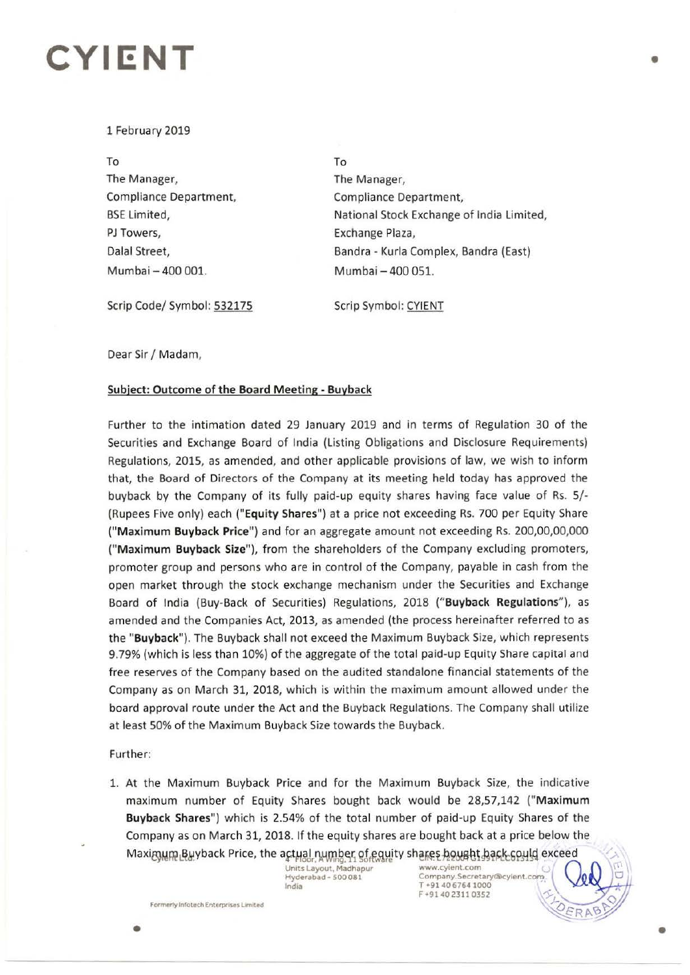## **CYIENT**

### 1 February 2019

To The Manager, Compliance Department, BSE limited, PJ Towers, Dalal Street, Mumbai - 400 001.

To The Manager, Compliance Department, National Stock Exchange of India limited, Exchange Plaza, Bandra - Kurla Complex, Bandra (East) Mumbai - 400 051.

Scrip Code/ Symbol: 532175

Scrip Symbol: CYIENT

Dear Sir/ Madam,

### **Subject: Outcome of the Board Meeting** - **Buyback**

Further to the intimation dated 29 January 2019 and in terms of Regulation 30 of the Securities and Exchange Board of India (Listing Obligations and Disclosure Requirements) Regulations, 2015, as amended, and other applicable provisions of law, we wish to inform that, the Board of Directors of the Company at its meeting held today has approved the buyback by the Company of its fully paid-up equity shares having face value of Rs. 5/- (Rupees Five only) each **("Equity Shares")** at a price not exceeding Rs. 700 per Equity Share **("Maximum Buyback Price")** and for an aggregate amount not exceeding Rs. 200,00,00,000 **("M aximum Buyback Size"),** from the shareholders of the Company excluding promoters, promoter group and persons who are in control of the Company, payable in cash from the open market through the stock exchange mechanism under the Securities and Exchange Board of India (Buy-Back of Securities) Regulations, 2018 **("Buyback Regulations"),** as amended and the Companies Act, 2013, as amended (the process hereinafter referred to as the **"Buyback").** The Buyback shall not exceed the Maximum Buyback Size, which represents 9.79% (which is less than 10%) of the aggregate of the total paid-up Equity Share capital and free reserves of the Company based on the audited standalone financial statements of the Company as on March 31, 2018, which is within the maximum amount allowed under the board approval route under the Act and the Buyback Regulations. The Company shall utilize at least 50% of the Maximum Buyback Size towards the Buyback.

#### Further:

1. At the Maximum Buyback Price and for the Maximum Buyback Size, the indicative maximum number of Equity Shares bought back would be 28,57,142 **("Maximum Buyback Shares")** which is 2.54% of the total number of paid-up Equity Shares of the Company as on March 31, 2018. If the equity shares are bought back at a price below the Maximum Buyback Price, the actual number of equity shares houset hack could exceed<br>Units Layout, Madhapur www.cyjent.com<br>
Units Layout, Madhapur www.cyjent.com Company Secretary@extern

India T •91406764 1000

| Units Layout, Madhapur www.cyient.com<br>| Hyderabad - 500 081 Company.Secretary@cyient.com F+914023110352 *"),,)-* • ץ

**Formerly Infotech Enterprises Limited Constraints** 

-------

•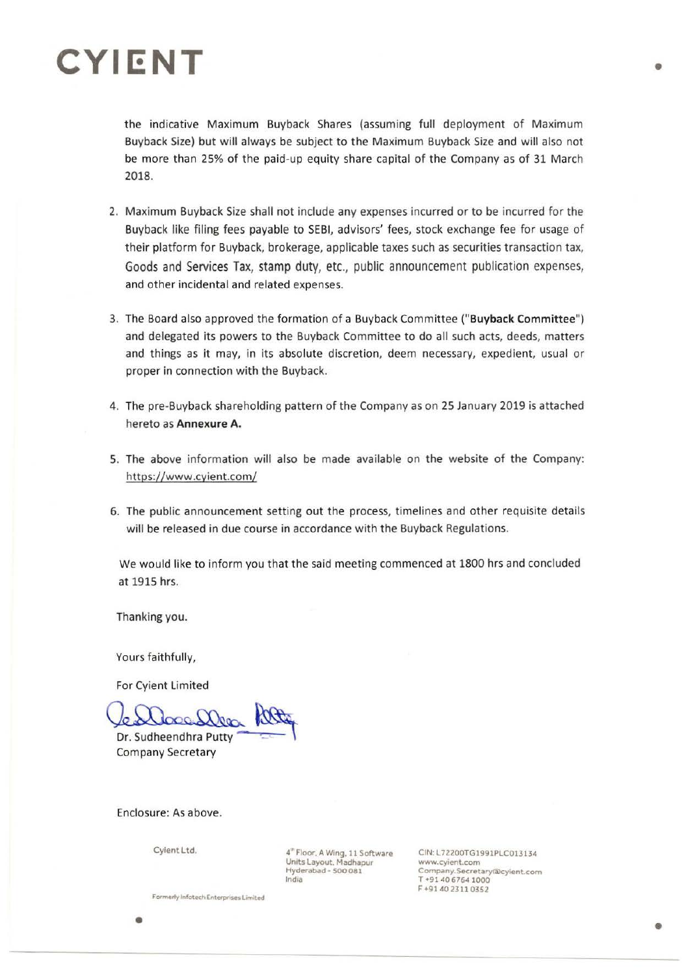# **CYll:NT**

the indicative Maximum Buyback Shares (assuming full deployment of Maximum Buyback Size) but will always be subject to the Maximum Buyback Size and will also not be more than 25% of the paid-up equity share capital of the Company as of 31 March 2018.

- 2. Maximum Buyback Size shall not include any expenses incurred or to be incurred for the Buyback like filing fees payable to SEBI, advisors' fees, stock exchange fee for usage of their platform for Buyback, brokerage, applicable taxes such as securities transaction tax, Goods and Services Tax, stamp duty, etc., public announcement publication expenses, and other incidental and related expenses.
- 3. The Board also approved the formation of a Buyback Committee **("Buyback Committee")**  and delegated its powers to the Buyback Committee to do all such acts, deeds, matters and things as it may, in its absolute discretion, deem necessary, expedient, usual or proper in connection with the Buyback.
- 4. The pre-Buyback shareholding pattern of the Company as on 25 January 2019 is attached hereto as **Annexure A.**
- 5. The above information will also be made available on the website of the Company: https://www .cyient.com/
- 6. The public announcement setting out the process, timelines and other requisite details will be released in due course in accordance with the Buyback Regulations.

We would like to inform you that the said meeting commenced at 1800 hrs and concluded at 1915 hrs.

Thanking you.

Yours faithfully,

For Cyient Limited

 $\infty$ Dr. Sudheendhra Putty A000

Company Secretary

Enclosure: As above.

Cyient Ltd.

4"' Floor, A Wing. 11 Software Units Layout. Madhapur Hyderabad - 500 081 lndla

CIN:L72200TG1991PLC013134 www.cyient.com Company.Secretary®eyient.com T +91406764 1000 F +91 40 2311 0352

•

**Formerly Infotech Enterprises Limited**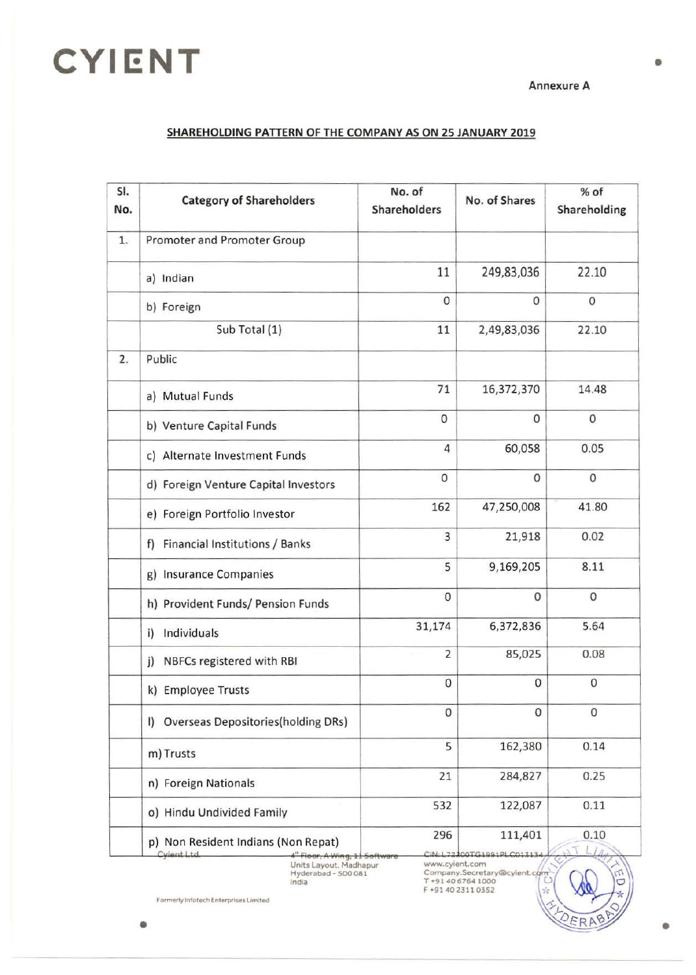# **CYIENT**

Annexure A

### SHAREHOLDING PATTERN OF THE COMPANY AS ON 25 JANUARY 2019

| SI.<br>No. | <b>Category of Shareholders</b>                                                         | No. of<br>Shareholders | No. of Shares                       | % of<br>Shareholding |
|------------|-----------------------------------------------------------------------------------------|------------------------|-------------------------------------|----------------------|
| 1.         | Promoter and Promoter Group                                                             |                        |                                     |                      |
|            | a) Indian                                                                               | 11                     | 249,83,036                          | 22.10                |
|            | b) Foreign                                                                              | $\mathsf{O}\xspace$    | $\mathbf{0}$                        | $\boldsymbol{0}$     |
|            | Sub Total (1)                                                                           | 11                     | 2,49,83,036                         | 22.10                |
| 2.         | Public                                                                                  |                        |                                     |                      |
|            | a) Mutual Funds                                                                         | 71                     | 16,372,370                          | 14.48                |
|            | b) Venture Capital Funds                                                                | $\mathbf{O}$           | $\mathbf{0}$                        | 0                    |
|            | c) Alternate Investment Funds                                                           | $\overline{4}$         | 60,058                              | 0.05                 |
|            | d) Foreign Venture Capital Investors                                                    | $\mathbf{0}$           | $\mathbf{0}$                        | $\mathbf 0$          |
|            | e) Foreign Portfolio Investor                                                           | 162                    | 47,250,008                          | 41.80                |
|            | f) Financial Institutions / Banks                                                       | 3                      | 21,918                              | 0.02                 |
|            | g) Insurance Companies                                                                  | 5                      | 9,169,205                           | 8.11                 |
|            | h) Provident Funds/ Pension Funds                                                       | $\mathbf 0$            | 0                                   | $\mathbf 0$          |
|            | Individuals<br>i)                                                                       | 31,174                 | 6,372,836                           | 5.64                 |
|            | NBFCs registered with RBI<br>j)                                                         | 2                      | 85,025                              | 0.08                 |
|            | k) Employee Trusts                                                                      | 0                      | 0                                   | $\mathbf{0}$         |
|            | I) Overseas Depositories(holding DRs)                                                   | 0                      | 0                                   | 0                    |
|            | m) Trusts                                                                               | 5                      | 162,380                             | 0.14                 |
|            | n) Foreign Nationals                                                                    | 21                     | 284,827                             | 0.25                 |
|            | o) Hindu Undivided Family                                                               | 532                    | 122,087                             | 0.11                 |
|            | p) Non Resident Indians (Non Repat)<br>Cylent Ltd<br>4 <sup>th</sup> Floor, A Wing, 115 | 296                    | 111,401<br>CIN: L72200TG1991PLC0131 | 0.10                 |

Units Layout, magnap<br>Hyderabad - 500 081<br>India

Company.Secretary@cyjent.com<br>T +91 40 6764 1000<br>F +91 40 2311 0352

Formerly Infotech Enterprises Limited